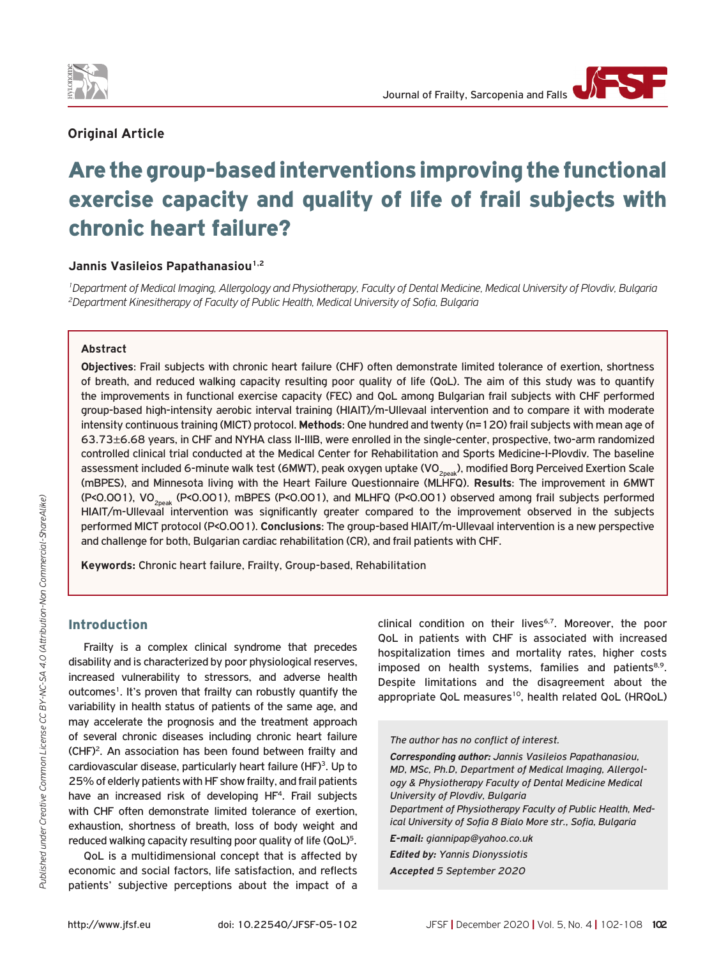

## **Original Article**

# Are the group-based interventions improving the functional exercise capacity and quality of life of frail subjects with chronic heart failure?

## Jannis Vasileios Papathanasiou<sup>1,2</sup>

*1Department of Medical Imaging, Allergology and Physiotherapy, Faculty of Dental Medicine, Medical University of Plovdiv, Bulgaria 2Department Kinesitherapy of Faculty of Public Health, Medical University of Sofia, Bulgaria*

#### **Abstract**

**Objectives**: Frail subjects with chronic heart failure (CHF) often demonstrate limited tolerance of exertion, shortness of breath, and reduced walking capacity resulting poor quality of life (QoL). The aim of this study was to quantify the improvements in functional exercise capacity (FEC) and QoL among Bulgarian frail subjects with CHF performed group-based high-intensity aerobic interval training (HIAIT)/m-Ullevaal intervention and to compare it with moderate intensity continuous training (MICT) protocol. **Methods**: One hundred and twenty (n=120) frail subjects with mean age of 63.73±6.68 years, in CHF and NYHA class II-IIIB, were enrolled in the single-center, prospective, two-arm randomized controlled clinical trial conducted at the Medical Center for Rehabilitation and Sports Medicine-I-Plovdiv. The baseline assessment included 6-minute walk test (6MWT), peak oxygen uptake (VO<sub>2004k</sub>), modified Borg Perceived Exertion Scale (mBPES), and Minnesota living with the Heart Failure Questionnaire (MLHFQ). **Results**: The improvement in 6MWT (P<0.001), VO2peak (P<0.001), mBPES (P<0.001), and MLHFQ (P<0.001) observed among frail subjects performed HIAIT/m-Ullevaal intervention was significantly greater compared to the improvement observed in the subjects performed MICT protocol (P<0.001). **Conclusions**: The group-based HIAIT/m-Ullevaal intervention is a new perspective and challenge for both, Bulgarian cardiac rehabilitation (CR), and frail patients with CHF.

**Keywords:** Chronic heart failure, Frailty, Group-based, Rehabilitation

### Introduction

Frailty is a complex clinical syndrome that precedes disability and is characterized by poor physiological reserves, increased vulnerability to stressors, and adverse health outcomes<sup>1</sup>. It's proven that frailty can robustly quantify the variability in health status of patients of the same age, and may accelerate the prognosis and the treatment approach of several chronic diseases including chronic heart failure (CHF)2. An association has been found between frailty and cardiovascular disease, particularly heart failure (HF)<sup>3</sup>. Up to 25% of elderly patients with HF show frailty, and frail patients have an increased risk of developing HF<sup>4</sup>. Frail subjects with CHF often demonstrate limited tolerance of exertion. exhaustion, shortness of breath, loss of body weight and reduced walking capacity resulting poor quality of life (QoL)<sup>5</sup>.

QoL is a multidimensional concept that is affected by economic and social factors, life satisfaction, and reflects patients' subjective perceptions about the impact of a

clinical condition on their lives<sup>6,7</sup>. Moreover, the poor QoL in patients with CHF is associated with increased hospitalization times and mortality rates, higher costs imposed on health systems, families and patients<sup>8,9</sup>. Despite limitations and the disagreement about the appropriate QoL measures<sup>10</sup>, health related QoL (HRQoL)

*The author has no conflict of interest.*

*Corresponding author: Jannis Vasileios Papathanasiou, MD, MSc, Ph.D, Department of Medical Imaging, Allergology & Physiotherapy Faculty of Dental Medicine Medical University of Plovdiv, Bulgaria Department of Physiotherapy Faculty of Public Health, Medical University of Sofia 8 Bialo More str., Sofia, Bulgaria E-mail: giannipap@yahoo.co.uk Edited by: Yannis Dionyssiotis Accepted 5 September 2020*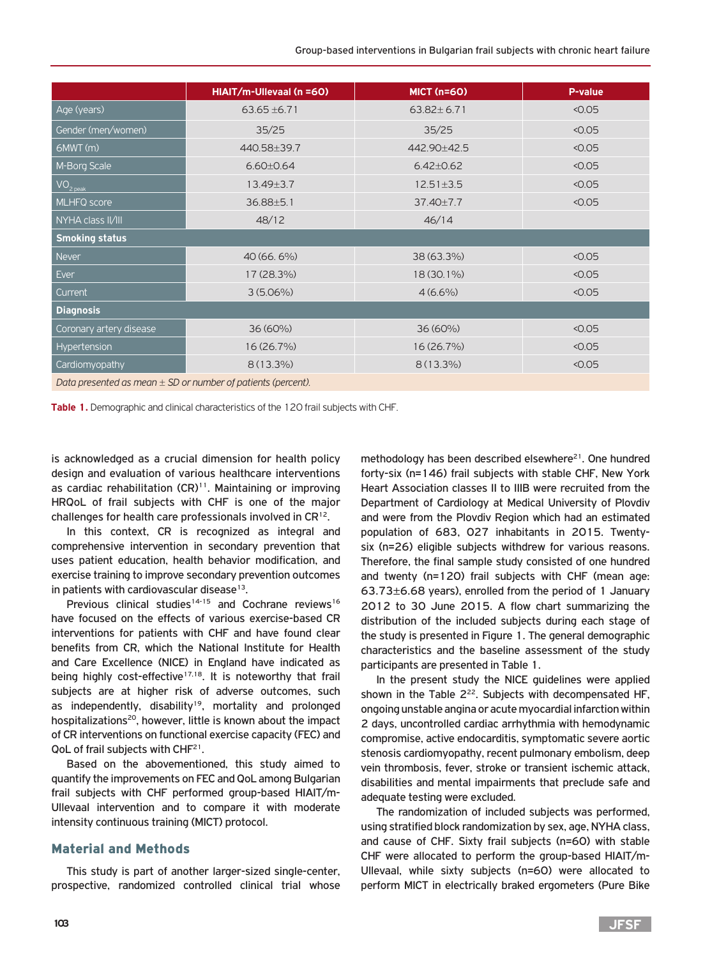|                                                               | HIAIT/m-Ullevaal (n =60) | <b>MICT (n=60)</b> | P-value |  |
|---------------------------------------------------------------|--------------------------|--------------------|---------|--|
| Age (years)                                                   | $63.65 \pm 6.71$         | $63.82 \pm 6.71$   | < 0.05  |  |
| Gender (men/women)                                            | 35/25                    | 35/25              | < 0.05  |  |
| 6MWT (m)                                                      | 440.58±39.7              | 442.90±42.5        |         |  |
| M-Borg Scale                                                  | $6.60 \pm 0.64$          | $6.42 \pm 0.62$    | < 0.05  |  |
| VO <sub>2 peak</sub>                                          | $13.49 \pm 3.7$          | $12.51 \pm 3.5$    | < 0.05  |  |
| MLHFQ score                                                   | $36.88 \pm 5.1$          | 37.40±7.7          | 0.05    |  |
| NYHA class II/III                                             | 48/12<br>46/14           |                    |         |  |
| <b>Smoking status</b>                                         |                          |                    |         |  |
| <b>Never</b>                                                  | 40 (66.6%)               | 38 (63.3%)         | < 0.05  |  |
| Ever                                                          | 17 (28.3%)               | 18 (30.1%)         | 0.05    |  |
| Current                                                       | $3(5.06\%)$              | $4(6.6\%)$         | < 0.05  |  |
| <b>Diagnosis</b>                                              |                          |                    |         |  |
| Coronary artery disease                                       | $36(60\%)$               | 36 (60%)           | < 0.05  |  |
| Hypertension                                                  | 16 (26.7%)               | 16 (26.7%)         | < 0.05  |  |
| Cardiomyopathy                                                | $8(13.3\%)$              | $8(13.3\%)$        | < 0.05  |  |
| Data procepted as mean $+$ SD or number of patients (percept) |                          |                    |         |  |

*Data presented as mean ± SD or number of patients (percent).*

**Table 1.** Demographic and clinical characteristics of the 120 frail subjects with CHF.

is acknowledged as a crucial dimension for health policy design and evaluation of various healthcare interventions as cardiac rehabilitation  $(CR)^{11}$ . Maintaining or improving HRQoL of frail subjects with CHF is one of the major challenges for health care professionals involved in CR12.

In this context, CR is recognized as integral and comprehensive intervention in secondary prevention that uses patient education, health behavior modification, and exercise training to improve secondary prevention outcomes in patients with cardiovascular disease $13$ .

Previous clinical studies<sup>14-15</sup> and Cochrane reviews<sup>16</sup> have focused on the effects of various exercise-based CR interventions for patients with CHF and have found clear benefits from CR, which the National Institute for Health and Care Excellence (NICE) in England have indicated as being highly cost-effective $17,18$ . It is noteworthy that frail subjects are at higher risk of adverse outcomes, such as independently, disability<sup>19</sup>, mortality and prolonged hospitalizations<sup>20</sup>, however, little is known about the impact of CR interventions on functional exercise capacity (FEC) and QoL of frail subjects with CHF<sup>21</sup>.

Based on the abovementioned, this study aimed to quantify the improvements on FEC and QoL among Bulgarian frail subjects with CHF performed group-based HIAIT/m-Ullevaal intervention and to compare it with moderate intensity continuous training (MICT) protocol.

#### Material and Methods

This study is part of another larger-sized single-center, prospective, randomized controlled clinical trial whose

methodology has been described elsewhere $21$ . One hundred forty-six (n=146) frail subjects with stable CHF, New York Heart Association classes II to IIIB were recruited from the Department of Cardiology at Medical University of Plovdiv and were from the Plovdiv Region which had an estimated population of 683, 027 inhabitants in 2015. Twentysix (n=26) eligible subjects withdrew for various reasons. Therefore, the final sample study consisted of one hundred and twenty (n=120) frail subjects with CHF (mean age: 63.73±6.68 years), enrolled from the period of 1 January 2012 to 30 June 2015. A flow chart summarizing the distribution of the included subjects during each stage of the study is presented in Figure 1. The general demographic characteristics and the baseline assessment of the study participants are presented in Table 1.

In the present study the NICE guidelines were applied shown in the Table  $2^{22}$ . Subjects with decompensated HF, ongoing unstable angina or acute myocardial infarction within 2 days, uncontrolled cardiac arrhythmia with hemodynamic compromise, active endocarditis, symptomatic severe aortic stenosis cardiomyopathy, recent pulmonary embolism, deep vein thrombosis, fever, stroke or transient ischemic attack, disabilities and mental impairments that preclude safe and adequate testing were excluded.

The randomization of included subjects was performed, using stratified block randomization by sex, age, NYHA class, and cause of CHF. Sixty frail subjects (n=60) with stable CHF were allocated to perform the group-based HIAIT/m-Ullevaal, while sixty subjects (n=60) were allocated to perform MICT in electrically braked ergometers (Pure Bike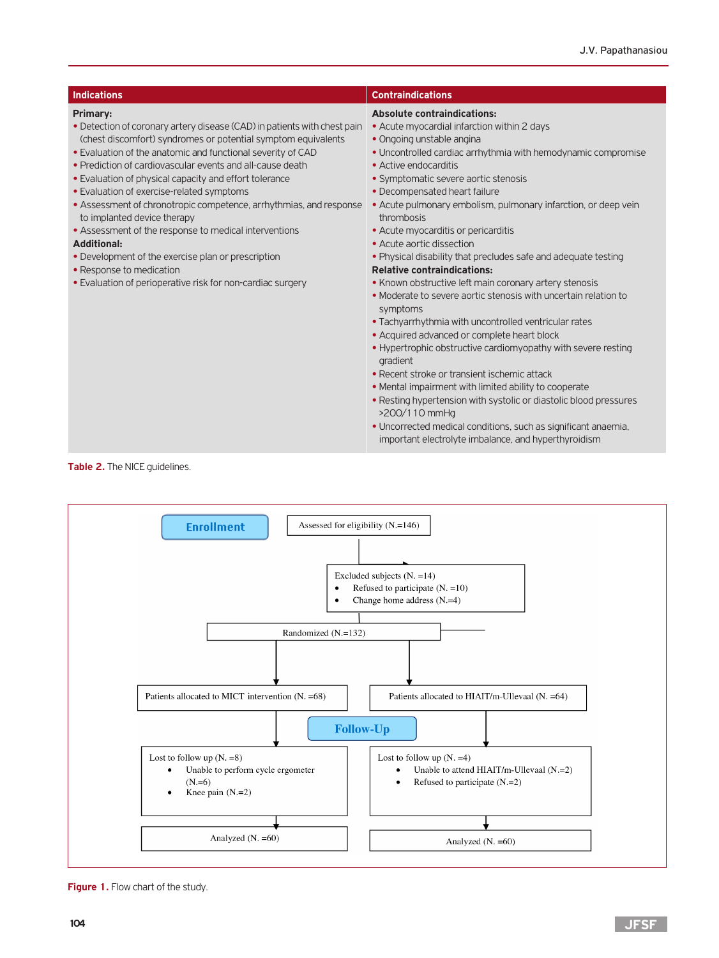| <b>Indications</b>                                                                                                                                                                                                                                                                                                                                                                                                                                                                                                                                                                                                                                                                                                           | <b>Contraindications</b>                                                                                                                                                                                                                                                                                                                                                                                                                                                                                                                                                                                                                                                                                                                                                                                                                                                                                                                                                                                                                                                                                                                                                                             |
|------------------------------------------------------------------------------------------------------------------------------------------------------------------------------------------------------------------------------------------------------------------------------------------------------------------------------------------------------------------------------------------------------------------------------------------------------------------------------------------------------------------------------------------------------------------------------------------------------------------------------------------------------------------------------------------------------------------------------|------------------------------------------------------------------------------------------------------------------------------------------------------------------------------------------------------------------------------------------------------------------------------------------------------------------------------------------------------------------------------------------------------------------------------------------------------------------------------------------------------------------------------------------------------------------------------------------------------------------------------------------------------------------------------------------------------------------------------------------------------------------------------------------------------------------------------------------------------------------------------------------------------------------------------------------------------------------------------------------------------------------------------------------------------------------------------------------------------------------------------------------------------------------------------------------------------|
| Primary:<br>• Detection of coronary artery disease (CAD) in patients with chest pain<br>(chest discomfort) syndromes or potential symptom equivalents<br>• Evaluation of the anatomic and functional severity of CAD<br>• Prediction of cardiovascular events and all-cause death<br>• Evaluation of physical capacity and effort tolerance<br>• Evaluation of exercise-related symptoms<br>• Assessment of chronotropic competence, arrhythmias, and response<br>to implanted device therapy<br>• Assessment of the response to medical interventions<br><b>Additional:</b><br>• Development of the exercise plan or prescription<br>• Response to medication<br>• Evaluation of perioperative risk for non-cardiac surgery | <b>Absolute contraindications:</b><br>• Acute myocardial infarction within 2 days<br>• Ongoing unstable angina<br>• Uncontrolled cardiac arrhythmia with hemodynamic compromise<br>• Active endocarditis<br>• Symptomatic severe aortic stenosis<br>• Decompensated heart failure<br>• Acute pulmonary embolism, pulmonary infarction, or deep vein<br>thrombosis<br>• Acute myocarditis or pericarditis<br>• Acute aortic dissection<br>• Physical disability that precludes safe and adequate testing<br><b>Relative contraindications:</b><br>• Known obstructive left main coronary artery stenosis<br>• Moderate to severe aortic stenosis with uncertain relation to<br>symptoms<br>• Tachyarrhythmia with uncontrolled ventricular rates<br>• Acquired advanced or complete heart block<br>• Hypertrophic obstructive cardiomyopathy with severe resting<br>gradient<br>• Recent stroke or transient ischemic attack<br>• Mental impairment with limited ability to cooperate<br>• Resting hypertension with systolic or diastolic blood pressures<br>>200/110 mmHg<br>• Uncorrected medical conditions, such as significant anaemia,<br>important electrolyte imbalance, and hyperthyroidism |

**Table 2.** The NICE guidelines.



**Figure 1.** Flow chart of the study.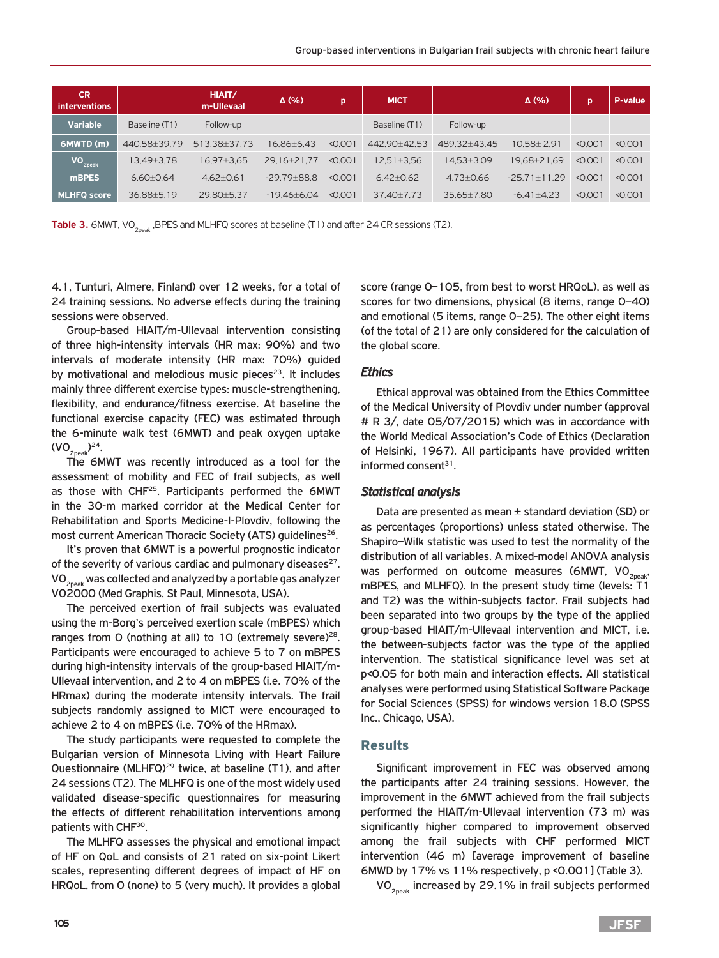| <b>CR</b><br><i>interventions</i> |               | HIAIT/<br>m-Ullevaal | $\Delta$ (%)    | p       | <b>MICT</b>      |                | $\Delta$ (%)     | D       | P-value |
|-----------------------------------|---------------|----------------------|-----------------|---------|------------------|----------------|------------------|---------|---------|
| <b>Variable</b>                   | Baseline (T1) | Follow-up            |                 |         | Baseline (T1)    | Follow-up      |                  |         |         |
| 6MWTD (m)                         | 440.58+39.79  | 513.38+37.73         | 16.86+6.43      | < 0.001 | 442.90+42.53     | 489.32+43.45   | $10.58 + 2.91$   | < 0.001 | < 0.001 |
| VO <sub>2peak</sub>               | 13.49±3.78    | $16.97 \pm 3.65$     | 29.16±21.77     | < 0.001 | $12.51 \pm 3.56$ | 14.53±3.09     | 19.68±21.69      | < 0.001 | < 0.001 |
| <b>mBPES</b>                      | $6.60 + 0.64$ | $4.62 + 0.61$        | $-29.79 + 88.8$ | < 0.001 | $6.42 + 0.62$    | $4.73 + 0.66$  | 29<br>$-2571+11$ | < 0.001 | < 0.001 |
| <b>MLHFQ score</b>                | 36.88±5.19    | 29.80+5.37           | $-19.46 + 6.04$ | < 0.001 | $37.40 + 7.73$   | $35.65 + 7.80$ | $-6.41+4.23$     | < 0.001 | < 0.001 |

**Table 3.** 6MWT, VO<sub>2poak</sub>, BPES and MLHFQ scores at baseline (T1) and after 24 CR sessions (T2).

4.1, Tunturi, Almere, Finland) over 12 weeks, for a total of 24 training sessions. No adverse effects during the training sessions were observed.

Group-based HIAIT/m-Ullevaal intervention consisting of three high-intensity intervals (HR max: 90%) and two intervals of moderate intensity (HR max: 70%) guided by motivational and melodious music pieces<sup>23</sup>. It includes mainly three different exercise types: muscle-strengthening, flexibility, and endurance/fitness exercise. At baseline the functional exercise capacity (FEC) was estimated through the 6-minute walk test (6ΜWT) and peak oxygen uptake  $(VO_{2peak})^{24}$ .

The 6ΜWT was recently introduced as a tool for the assessment of mobility and FEC of frail subjects, as well as those with CHF<sup>25</sup>. Participants performed the 6MWT in the 30-m marked corridor at the Medical Center for Rehabilitation and Sports Medicine-I-Plovdiv, following the most current American Thoracic Society (ATS) guidelines<sup>26</sup>.

It's proven that 6ΜWT is a powerful prognostic indicator of the severity of various cardiac and pulmonary diseases $27$ . VO2peak was collected and analyzed by a portable gas analyzer VO2000 (Med Graphis, St Paul, Minnesota, USA).

The perceived exertion of frail subjects was evaluated using the m-Borg's perceived exertion scale (mBPES) which ranges from O (nothing at all) to 10 (extremely severe)<sup>28</sup>. Participants were encouraged to achieve 5 to 7 on mBPES during high-intensity intervals of the group-based HIAIT/m-Ullevaal intervention, and 2 to 4 on mBPES (i.e. 70% of the HRmax) during the moderate intensity intervals. The frail subjects randomly assigned to MICT were encouraged to achieve 2 to 4 on mBPES (i.e. 70% of the HRmax).

The study participants were requested to complete the Bulgarian version of Minnesota Living with Heart Failure Questionnaire (MLHFQ)<sup>29</sup> twice, at baseline (T1), and after 24 sessions (T2). The MLHFQ is one of the most widely used validated disease-specific questionnaires for measuring the effects of different rehabilitation interventions among patients with CHF<sup>30</sup>.

The MLHFQ assesses the physical and emotional impact of HF on QoL and consists of 21 rated on six-point Likert scales, representing different degrees of impact of HF on HRQoL, from 0 (none) to 5 (very much). It provides a global

score (range 0–105, from best to worst HRQoL), as well as scores for two dimensions, physical (8 items, range 0–40) and emotional (5 items, range 0–25). The other eight items (of the total of 21) are only considered for the calculation of the global score.

#### *Ethics*

Ethical approval was obtained from the Ethics Committee of the Medical University of Plovdiv under number (approval # R 3/, date 05/07/2015) which was in accordance with the World Medical Association's Code of Ethics (Declaration of Helsinki, 1967). All participants have provided written informed consent $31$ .

#### *Statistical analysis*

Data are presented as mean  $\pm$  standard deviation (SD) or as percentages (proportions) unless stated otherwise. The Shapiro–Wilk statistic was used to test the normality of the distribution of all variables. A mixed-model ANOVA analysis was performed on outcome measures (6MWT,  $VO_{2n eak}$ , mBPES, and MLHFQ). In the present study time (levels: T1 and T2) was the within-subjects factor. Frail subjects had been separated into two groups by the type of the applied group-based HIAIT/m-Ullevaal intervention and MICT, i.e. the between-subjects factor was the type of the applied intervention. The statistical significance level was set at p<0.05 for both main and interaction effects. All statistical analyses were performed using Statistical Software Package for Social Sciences (SPSS) for windows version 18.0 (SPSS Inc., Chicago, USA).

#### **Results**

Significant improvement in FEC was observed among the participants after 24 training sessions. However, the improvement in the 6MWT achieved from the frail subjects performed the HIAIT/m-Ullevaal intervention (73 m) was significantly higher compared to improvement observed among the frail subjects with CHF performed MICT intervention (46 m) [average improvement of baseline 6MWD by 17% vs 11% respectively, p <0.001] (Table 3).

VO<sub>2peak</sub> increased by 29.1% in frail subjects performed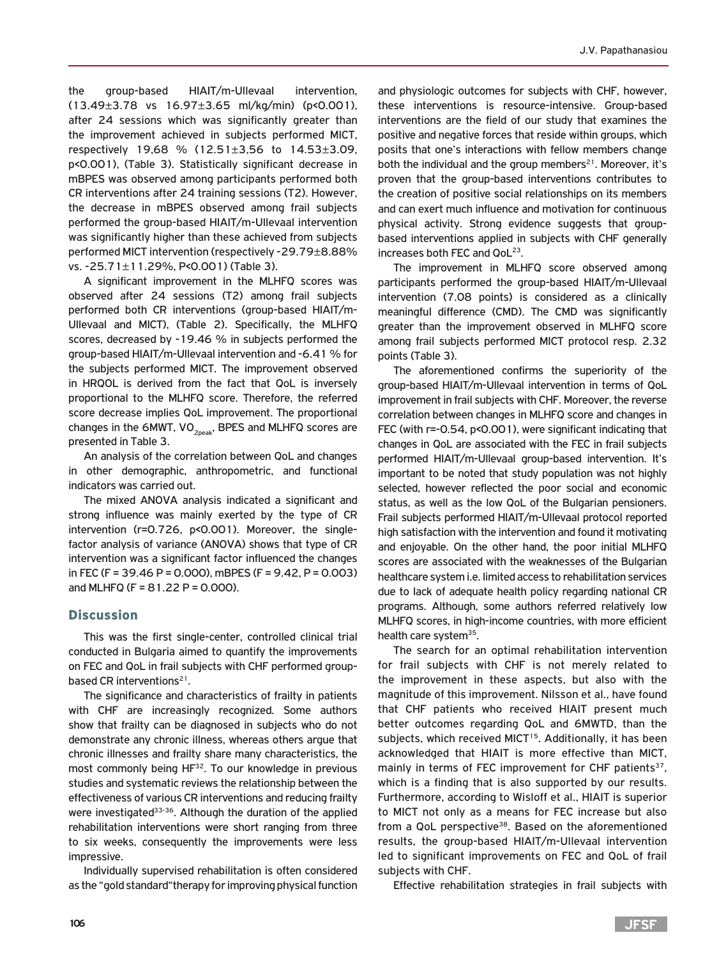the group-based HIAIT/m-Ullevaal intervention, (13.49±3.78 vs 16.97±3.65 ml/kg/min) (p<0.001), after 24 sessions which was significantly greater than the improvement achieved in subjects performed MICT, respectively 19,68 % (12.51±3,56 to 14.53±3.09, p<0.001), (Table 3). Statistically significant decrease in mBPES was observed among participants performed both CR interventions after 24 training sessions (T2). However, the decrease in mBPES observed among frail subjects performed the group-based HIAIT/m-Ullevaal intervention was significantly higher than these achieved from subjects performed MICT intervention (respectively -29.79±8.88% vs. -25.71±11.29%, P<0.001) (Table 3).

A significant improvement in the MLHFQ scores was observed after 24 sessions (T2) among frail subjects performed both CR interventions (group-based HIAIT/m-Ullevaal and MICT), (Table 2). Specifically, the MLHFQ scores, decreased by -19.46 % in subjects performed the group-based HIAIT/m-Ullevaal intervention and -6.41 % for the subjects performed MICT. The improvement observed in HRQOL is derived from the fact that QoL is inversely proportional to the MLHFQ score. Therefore, the referred score decrease implies QoL improvement. The proportional changes in the 6MWT,  $VO_{2p,2k}$ , BPES and MLHFQ scores are presented in Table 3.

An analysis of the correlation between QoL and changes in other demographic, anthropometric, and functional indicators was carried out.

The mixed ANOVA analysis indicated a significant and strong influence was mainly exerted by the type of CR intervention (r=0.726, p<0.001). Moreover, the singlefactor analysis of variance (ANOVA) shows that type of CR intervention was a significant factor influenced the changes in FEC (F = 39.46 P = 0.000), mBPES (F = 9.42, P = 0.003) and MLHFQ (F =  $81.22$  P = 0.000).

#### **Discussion**

This was the first single-center, controlled clinical trial conducted in Bulgaria aimed to quantify the improvements on FEC and QoL in frail subjects with CHF performed groupbased CR interventions<sup>21</sup>.

The significance and characteristics of frailty in patients with CHF are increasingly recognized. Some authors show that frailty can be diagnosed in subjects who do not demonstrate any chronic illness, whereas others argue that chronic illnesses and frailty share many characteristics, the most commonly being HF<sup>32</sup>. To our knowledge in previous studies and systematic reviews the relationship between the effectiveness of various CR interventions and reducing frailty were investigated<sup>33-36</sup>. Although the duration of the applied rehabilitation interventions were short ranging from three to six weeks, consequently the improvements were less impressive.

Individually supervised rehabilitation is often considered as the "gold standard"therapy for improving physical function

and physiologic outcomes for subjects with CHF, however, these interventions is resource-intensive. Group-based interventions are the field of our study that examines the positive and negative forces that reside within groups, which posits that one's interactions with fellow members change both the individual and the group members $21$ . Moreover, it's proven that the group-based interventions contributes to the creation of positive social relationships on its members and can exert much influence and motivation for continuous physical activity. Strong evidence suggests that groupbased interventions applied in subjects with CHF generally increases both FEC and OoL<sup>23</sup>.

The improvement in MLHFQ score observed among participants performed the group-based HIAIT/m-Ullevaal intervention (7.08 points) is considered as a clinically meaningful difference (CMD). The CMD was significantly greater than the improvement observed in MLHFQ score among frail subjects performed MICT protocol resp. 2.32 points (Table 3).

The aforementioned confirms the superiority of the group-based HIAIT/m-Ullevaal intervention in terms of QoL improvement in frail subjects with CHF. Moreover, the reverse correlation between changes in MLHFQ score and changes in FEC (with r=-0.54, p<0.001), were significant indicating that changes in QoL are associated with the FEC in frail subjects performed HIAIT/m-Ullevaal group-based intervention. It's important to be noted that study population was not highly selected, however reflected the poor social and economic status, as well as the low QoL of the Bulgarian pensioners. Frail subjects performed HIAIT/m-Ullevaal protocol reported high satisfaction with the intervention and found it motivating and enjoyable. On the other hand, the poor initial MLHFQ scores are associated with the weaknesses of the Bulgarian healthcare system i.e. limited access to rehabilitation services due to lack of adequate health policy regarding national CR programs. Although, some authors referred relatively low MLHFQ scores, in high-income countries, with more efficient health care system<sup>35</sup>.

The search for an optimal rehabilitation intervention for frail subjects with CHF is not merely related to the improvement in these aspects, but also with the magnitude of this improvement. Nilsson et al., have found that CHF patients who received HIAIT present much better outcomes regarding QoL and 6MWTD, than the subjects, which received MICT<sup>15</sup>. Additionally, it has been acknowledged that HIAIT is more effective than MICT, mainly in terms of FEC improvement for CHF patients<sup>37</sup>, which is a finding that is also supported by our results. Furthermore, according to Wisloff et al., HIAIT is superior to MICT not only as a means for FEC increase but also from a QoL perspective<sup>38</sup>. Based on the aforementioned results, the group-based HIAIT/m-Ullevaal intervention led to significant improvements on FEC and QoL of frail subjects with CHF.

Effective rehabilitation strategies in frail subjects with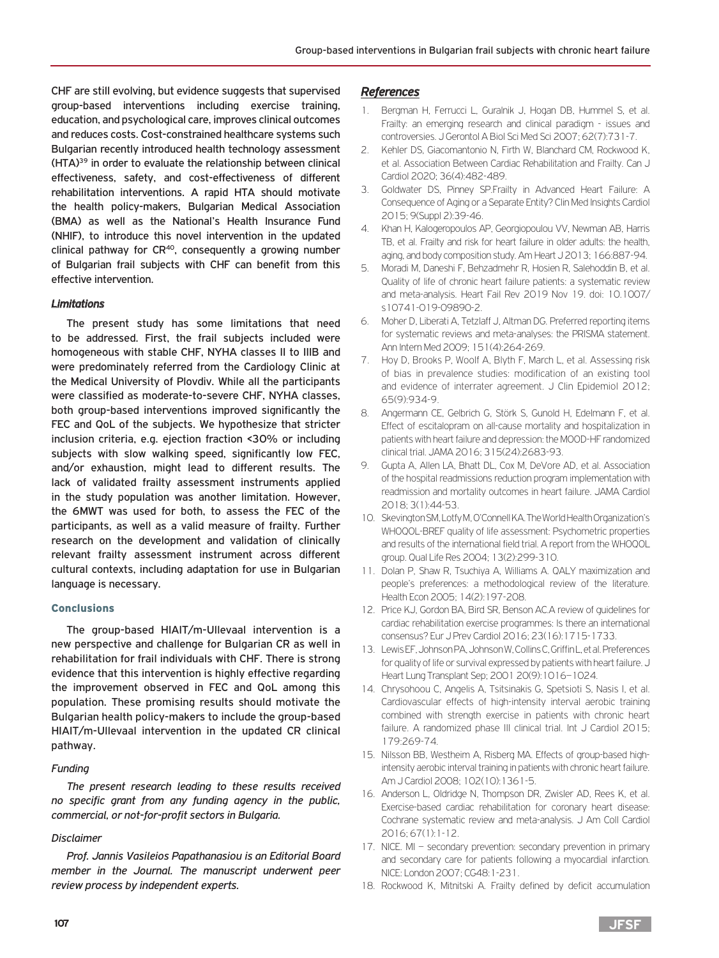CHF are still evolving, but evidence suggests that supervised group-based interventions including exercise training, education, and psychological care, improves clinical outcomes and reduces costs. Cost-constrained healthcare systems such Bulgarian recently introduced health technology assessment (HTA)39 in order to evaluate the relationship between clinical effectiveness, safety, and cost-effectiveness of different rehabilitation interventions. A rapid HTA should motivate the health policy-makers, Bulgarian Medical Association (BMA) as well as the National's Health Insurance Fund (NHIF), to introduce this novel intervention in the updated clinical pathway for  $CR^{40}$ , consequently a growing number of Bulgarian frail subjects with CHF can benefit from this effective intervention.

#### *Limitations*

The present study has some limitations that need to be addressed. First, the frail subjects included were homogeneous with stable CHF, NYHA classes II to IIIB and were predominately referred from the Cardiology Clinic at the Medical University of Plovdiv. While all the participants were classified as moderate-to-severe CHF, NYHA classes, both group-based interventions improved significantly the FEC and QoL of the subjects. We hypothesize that stricter inclusion criteria, e.g. ejection fraction <30% or including subjects with slow walking speed, significantly low FEC, and/or exhaustion, might lead to different results. The lack of validated frailty assessment instruments applied in the study population was another limitation. However, the 6MWT was used for both, to assess the FEC of the participants, as well as a valid measure of frailty. Further research on the development and validation of clinically relevant frailty assessment instrument across different cultural contexts, including adaptation for use in Bulgarian language is necessary.

#### Conclusions

The group-based HIAIT/m-Ullevaal intervention is a new perspective and challenge for Bulgarian CR as well in rehabilitation for frail individuals with CHF. There is strong evidence that this intervention is highly effective regarding the improvement observed in FEC and QoL among this population. These promising results should motivate the Bulgarian health policy-makers to include the group-based HIAIT/m-Ullevaal intervention in the updated CR clinical pathway.

#### *Funding*

*The present research leading to these results received no specific grant from any funding agency in the public, commercial, or not-for-profit sectors in Bulgaria.*

#### *Disclaimer*

*Prof. Jannis Vasileios Papathanasiou is an Editorial Board member in the Journal. The manuscript underwent peer review process by independent experts.*

#### *References*

- 1. Bergman H, Ferrucci L, Guralnik J, Hogan DB, Hummel S, et al. Frailty: an emerging research and clinical paradigm - issues and controversies. J Gerontol A Biol Sci Med Sci 2007; 62(7):731-7.
- 2. Kehler DS, Giacomantonio N, Firth W, Blanchard CM, Rockwood K, et al. Association Between Cardiac Rehabilitation and Frailty. Can J Cardiol 2020; 36(4):482-489.
- 3. Goldwater DS, Pinney SP.Frailty in Advanced Heart Failure: A Consequence of Aging or a Separate Entity? Clin Med Insights Cardiol 2015; 9(Suppl 2):39-46.
- 4. Khan H, Kalogeropoulos AP, Georgiopoulou VV, Newman AB, Harris TB, et al. Frailty and risk for heart failure in older adults: the health, aging, and body composition study. Am Heart J 2013; 166:887-94.
- 5. Moradi M, Daneshi F, Behzadmehr R, Hosien R, Salehoddin B, et al. Quality of life of chronic heart failure patients: a systematic review and meta-analysis. Heart Fail Rev 2019 Nov 19. doi: 10.1007/ s10741-019-09890-2.
- 6. Moher D, Liberati A, Tetzlaff J, Altman DG. Preferred reporting items for systematic reviews and meta-analyses: the PRISMA statement. Ann Intern Med 2009; 151(4):264-269.
- 7. Hoy D, Brooks P, Woolf A, Blyth F, March L, et al. Assessing risk of bias in prevalence studies: modification of an existing tool and evidence of interrater agreement. J Clin Epidemiol 2012; 65(9):934-9.
- 8. Angermann CE, Gelbrich G, Störk S, Gunold H, Edelmann F, et al. Effect of escitalopram on all-cause mortality and hospitalization in patients with heart failure and depression: the MOOD-HF randomized clinical trial. JAMA 2016; 315(24):2683-93.
- 9. Gupta A, Allen LA, Bhatt DL, Cox M, DeVore AD, et al. Association of the hospital readmissions reduction program implementation with readmission and mortality outcomes in heart failure. JAMA Cardiol 2018; 3(1):44-53.
- 10. Skevington SM, Lotfy M, O'Connell KA. The World Health Organization's WHOQOL-BREF quality of life assessment: Psychometric properties and results of the international field trial. A report from the WHOQOL group. Qual Life Res 2004; 13(2):299-310.
- 11. Dolan P, Shaw R, Tsuchiya A, Williams A. QALY maximization and people's preferences: a methodological review of the literature. Health Econ 2005; 14(2):197-208.
- 12. Price KJ, Gordon BA, Bird SR, Benson AC.A review of guidelines for cardiac rehabilitation exercise programmes: Is there an international consensus? Eur J Prev Cardiol 2016; 23(16):1715-1733.
- 13. Lewis EF, Johnson PA, Johnson W, Collins C, Griffin L, et al. Preferences for quality of life or survival expressed by patients with heart failure. J Heart Lung Transplant Sep; 2001 20(9):1016–1024.
- 14. Chrysohoou C, Angelis A, Tsitsinakis G, Spetsioti S, Nasis I, et al. Cardiovascular effects of high-intensity interval aerobic training combined with strength exercise in patients with chronic heart failure. A randomized phase III clinical trial. Int J Cardiol 2015; 179:269-74.
- 15. Nilsson BB, Westheim A, Risberg MA. Effects of group-based highintensity aerobic interval training in patients with chronic heart failure. Am J Cardiol 2008; 102(10):1361-5.
- 16. Anderson L, Oldridge N, Thompson DR, Zwisler AD, Rees K, et al. Exercise-based cardiac rehabilitation for coronary heart disease: Cochrane systematic review and meta-analysis. J Am Coll Cardiol 2016; 67(1):1-12.
- 17. NICE. MI secondary prevention: secondary prevention in primary and secondary care for patients following a myocardial infarction. NICE: London 2007; CG48:1-231.
- 18. Rockwood K, Mitnitski A. Frailty defined by deficit accumulation